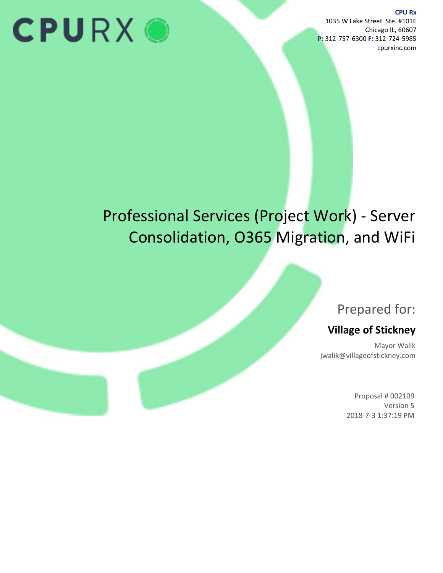# **CPURXO**

**CPU Rx** 1035 W Lake Street Ste. #101E Chicago IL, 60607 **P:** 312-757-6300 **F:** 312-724-5985 cpurxinc.com

# Professional Services (Project Work) - Server Consolidation, O365 Migration, and WiFi

# Prepared for:

# **Village of Stickney**

Mayor Walik jwalik@villageofstickney.com

> Proposal # 002109 Version 5 2018-7-3 1:37:19 PM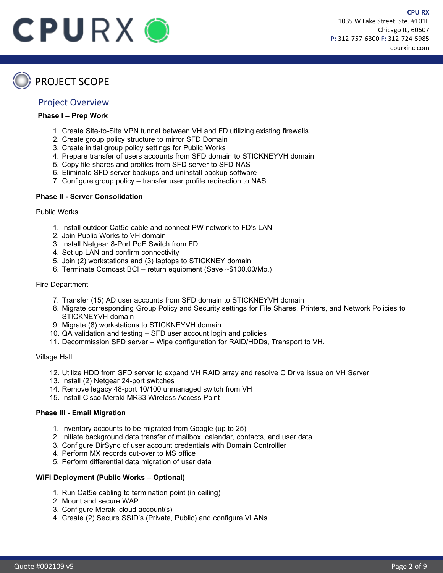

**CPU RX**



# PROJECT SCOPE

#### Project Overview

#### **Phase I – Prep Work**

- 1. Create Site-to-Site VPN tunnel between VH and FD utilizing existing firewalls
- 2. Create group policy structure to mirror SFD Domain
- 3. Create initial group policy settings for Public Works
- 4. Prepare transfer of users accounts from SFD domain to STICKNEYVH domain
- 5. Copy file shares and profiles from SFD server to SFD NAS
- 6. Eliminate SFD server backups and uninstall backup software
- 7. Configure group policy transfer user profile redirection to NAS

#### **Phase II - Server Consolidation**

#### Public Works

- 1. Install outdoor Cat5e cable and connect PW network to FD's LAN
- 2. Join Public Works to VH domain
- 3. Install Netgear 8-Port PoE Switch from FD
- 4. Set up LAN and confirm connectivity
- 5. Join (2) workstations and (3) laptops to STICKNEY domain
- 6. Terminate Comcast BCI return equipment (Save ~\$100.00/Mo.)

#### Fire Department

- 7. Transfer (15) AD user accounts from SFD domain to STICKNEYVH domain
- 8. Migrate corresponding Group Policy and Security settings for File Shares, Printers, and Network Policies to STICKNEYVH domain
- 9. Migrate (8) workstations to STICKNEYVH domain
- 10. QA validation and testing SFD user account login and policies
- 11. Decommission SFD server Wipe configuration for RAID/HDDs, Transport to VH.

#### Village Hall

- 12. Utilize HDD from SFD server to expand VH RAID array and resolve C Drive issue on VH Server
- 13. Install (2) Netgear 24-port switches
- 14. Remove legacy 48-port 10/100 unmanaged switch from VH
- 15. Install Cisco Meraki MR33 Wireless Access Point

#### **Phase III - Email Migration**

- 1. Inventory accounts to be migrated from Google (up to 25)
- 2. Initiate background data transfer of mailbox, calendar, contacts, and user data
- 3. Configure DirSync of user account credentials with Domain Controlller
- 4. Perform MX records cut-over to MS office
- 5. Perform differential data migration of user data

#### **WiFi Deployment (Public Works – Optional)**

- 1. Run Cat5e cabling to termination point (in ceiling)
- 2. Mount and secure WAP
- 3. Configure Meraki cloud account(s)
- 4. Create (2) Secure SSID's (Private, Public) and configure VLANs.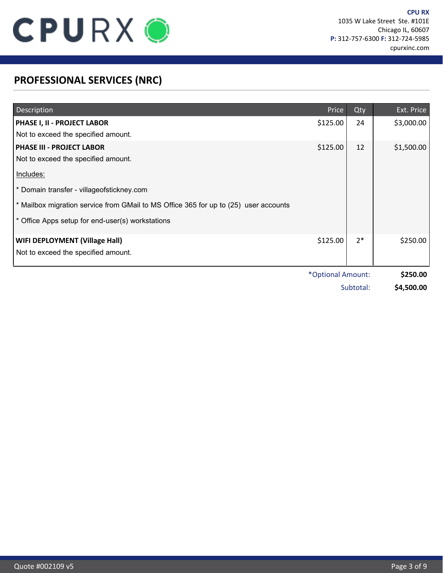

# **PROFESSIONAL SERVICES (NRC)**

| Description                                                                          | Price             | Qty       | Ext. Price |
|--------------------------------------------------------------------------------------|-------------------|-----------|------------|
| PHASE I, II - PROJECT LABOR                                                          | \$125.00          | 24        | \$3,000.00 |
| Not to exceed the specified amount.                                                  |                   |           |            |
| <b>PHASE III - PROJECT LABOR</b>                                                     | \$125.00          | 12        | \$1,500.00 |
| Not to exceed the specified amount.                                                  |                   |           |            |
| Includes:                                                                            |                   |           |            |
| * Domain transfer - villageofstickney.com                                            |                   |           |            |
| * Mailbox migration service from GMail to MS Office 365 for up to (25) user accounts |                   |           |            |
| Office Apps setup for end-user(s) workstations                                       |                   |           |            |
| <b>WIFI DEPLOYMENT (Village Hall)</b>                                                | \$125.00          | $2*$      | \$250.00   |
| Not to exceed the specified amount.                                                  |                   |           |            |
|                                                                                      | *Optional Amount: |           | \$250.00   |
|                                                                                      |                   | Subtotal: | \$4,500.00 |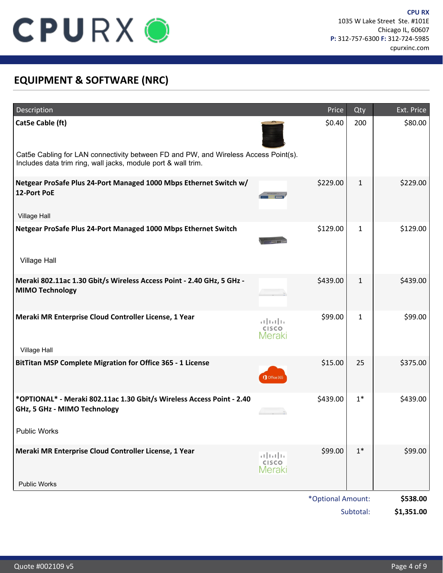

# **EQUIPMENT & SOFTWARE (NRC)**

| Description                                                                                                                                          |                                   | Price             | Qty          | Ext. Price |
|------------------------------------------------------------------------------------------------------------------------------------------------------|-----------------------------------|-------------------|--------------|------------|
| Cat5e Cable (ft)                                                                                                                                     |                                   | \$0.40            | 200          | \$80.00    |
| Cat5e Cabling for LAN connectivity between FD and PW, and Wireless Access Point(s).<br>Includes data trim ring, wall jacks, module port & wall trim. |                                   |                   |              |            |
| Netgear ProSafe Plus 24-Port Managed 1000 Mbps Ethernet Switch w/<br>12-Port PoE                                                                     |                                   | \$229.00          | $\mathbf{1}$ | \$229.00   |
| Village Hall                                                                                                                                         |                                   |                   |              |            |
| Netgear ProSafe Plus 24-Port Managed 1000 Mbps Ethernet Switch                                                                                       |                                   | \$129.00          | $\mathbf{1}$ | \$129.00   |
| <b>Village Hall</b>                                                                                                                                  |                                   |                   |              |            |
| Meraki 802.11ac 1.30 Gbit/s Wireless Access Point - 2.40 GHz, 5 GHz -<br><b>MIMO Technology</b>                                                      |                                   | \$439.00          | $\mathbf{1}$ | \$439.00   |
| Meraki MR Enterprise Cloud Controller License, 1 Year                                                                                                | altalla<br>CISCO<br>Meraki        | \$99.00           | $\mathbf{1}$ | \$99.00    |
| Village Hall                                                                                                                                         |                                   |                   |              |            |
| BitTitan MSP Complete Migration for Office 365 - 1 License                                                                                           | Office 365                        | \$15.00           | 25           | \$375.00   |
| *OPTIONAL* - Meraki 802.11ac 1.30 Gbit/s Wireless Access Point - 2.40<br>GHz, 5 GHz - MIMO Technology                                                |                                   | \$439.00          | $1*$         | \$439.00   |
| <b>Public Works</b>                                                                                                                                  |                                   |                   |              |            |
| Meraki MR Enterprise Cloud Controller License, 1 Year                                                                                                | بالبالب<br><b>CISCO</b><br>Meraki | \$99.00           | $1*$         | \$99.00    |
| <b>Public Works</b>                                                                                                                                  |                                   |                   |              |            |
|                                                                                                                                                      |                                   | *Optional Amount: |              | \$538.00   |
|                                                                                                                                                      |                                   |                   | Subtotal:    | \$1,351.00 |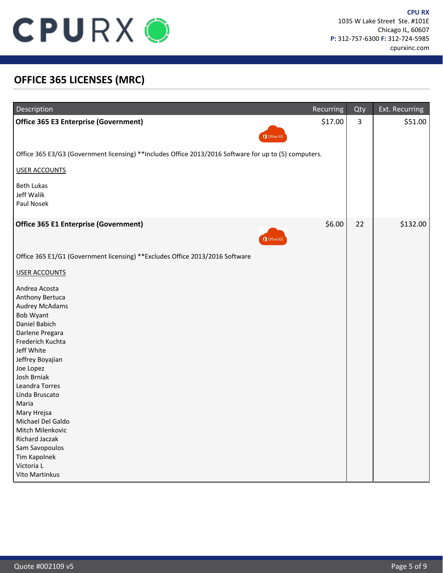

### **OFFICE 365 LICENSES (MRC)**

| Description                                                                                                                                                                                                                                                                                                                                                                                  | Recurring | Qty            | Ext. Recurring |
|----------------------------------------------------------------------------------------------------------------------------------------------------------------------------------------------------------------------------------------------------------------------------------------------------------------------------------------------------------------------------------------------|-----------|----------------|----------------|
| <b>Office 365 E3 Enterprise (Government)</b><br>Office 365                                                                                                                                                                                                                                                                                                                                   | \$17.00   | $\overline{3}$ | \$51.00        |
| Office 365 E3/G3 (Government licensing) **Includes Office 2013/2016 Software for up to (5) computers.                                                                                                                                                                                                                                                                                        |           |                |                |
| USER ACCOUNTS                                                                                                                                                                                                                                                                                                                                                                                |           |                |                |
| <b>Beth Lukas</b><br>Jeff Walik<br>Paul Nosek                                                                                                                                                                                                                                                                                                                                                |           |                |                |
| Office 365 E1 Enterprise (Government)<br>Office 365                                                                                                                                                                                                                                                                                                                                          | \$6.00    | 22             | \$132.00       |
| Office 365 E1/G1 (Government licensing) ** Excludes Office 2013/2016 Software                                                                                                                                                                                                                                                                                                                |           |                |                |
| <b>USER ACCOUNTS</b>                                                                                                                                                                                                                                                                                                                                                                         |           |                |                |
| Andrea Acosta<br>Anthony Bertuca<br><b>Audrey McAdams</b><br>Bob Wyant<br>Daniel Babich<br>Darlene Pregara<br>Frederich Kuchta<br>Jeff White<br>Jeffrey Boyajian<br>Joe Lopez<br>Josh Brniak<br>Leandra Torres<br>Linda Bruscato<br>Maria<br>Mary Hrejsa<br>Michael Del Galdo<br>Mitch Milenkovic<br><b>Richard Jaczak</b><br>Sam Savopoulos<br>Tim Kapolnek<br>Victoria L<br>Vito Martinkus |           |                |                |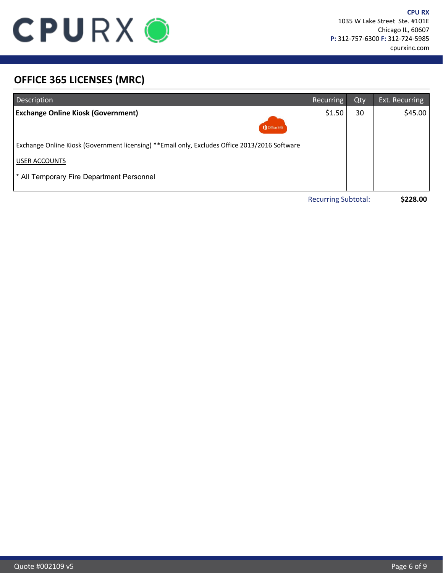

# **OFFICE 365 LICENSES (MRC)**

| Description                                                                                    | <b>Recurring</b>           | Qty | Ext. Recurring |
|------------------------------------------------------------------------------------------------|----------------------------|-----|----------------|
| <b>Exchange Online Kiosk (Government)</b><br>Office 365                                        | \$1.50                     | 30  | \$45.00        |
| Exchange Online Kiosk (Government licensing) ** Email only, Excludes Office 2013/2016 Software |                            |     |                |
| <b>USER ACCOUNTS</b>                                                                           |                            |     |                |
| * All Temporary Fire Department Personnel                                                      |                            |     |                |
|                                                                                                | <b>Recurring Subtotal:</b> |     | \$228.00       |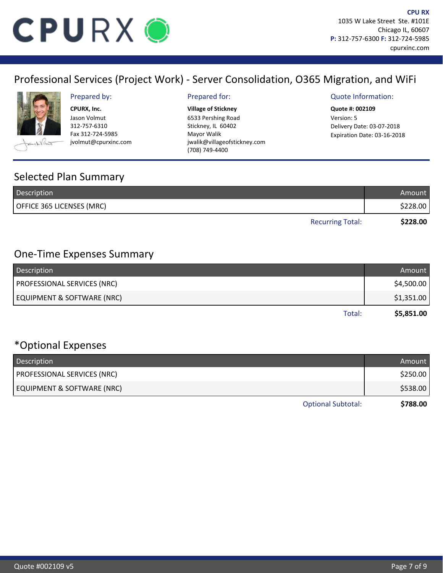

# Professional Services (Project Work) - Server Consolidation, O365 Migration, and WiFi



**Village of Stickney CPURX, Inc. Quote #: 002109** Jason Volmut 312-757-6310 Fax 312-724-5985 jvolmut@cpurxinc.com

6533 Pershing Road Stickney, IL 60402 Mayor Walik jwalik@villageofstickney.com (708) 749-4400

#### Prepared by: Prepared for: Quote Information:

Version: 5 Delivery Date: 03-07-2018 Expiration Date: 03-16-2018

### Selected Plan Summary

| Description               | Amount   |
|---------------------------|----------|
| OFFICE 365 LICENSES (MRC) | \$228.00 |
| <b>Recurring Total:</b>   | \$228.00 |

### One-Time Expenses Summary

| Description                        | Amount     |
|------------------------------------|------------|
| <b>PROFESSIONAL SERVICES (NRC)</b> | \$4,500.00 |
| EQUIPMENT & SOFTWARE (NRC)         | \$1,351.00 |
| Total:                             | \$5,851.00 |

# \*Optional Expenses

| Description                        | Amount   |
|------------------------------------|----------|
| <b>PROFESSIONAL SERVICES (NRC)</b> | \$250.00 |
| EQUIPMENT & SOFTWARE (NRC)         | \$538.00 |
| <b>Optional Subtotal:</b>          | \$788.00 |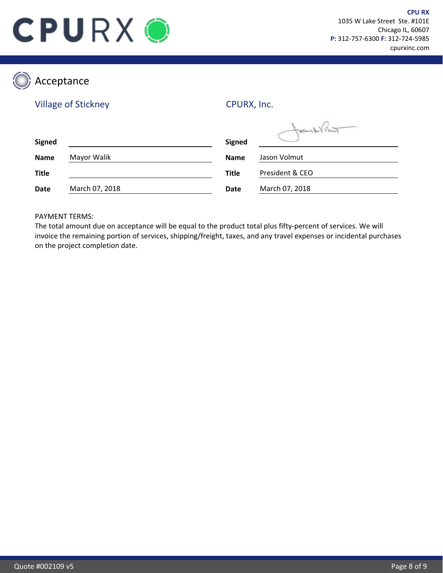

 $\sqrt{a}$ 

# Acceptance

### Village of Stickney

CPURX, Inc.

| <b>Signed</b> |                | <b>Signed</b> | Fort / Araze    |
|---------------|----------------|---------------|-----------------|
| <b>Name</b>   | Mayor Walik    | <b>Name</b>   | Jason Volmut    |
| <b>Title</b>  |                | <b>Title</b>  | President & CEO |
| Date          | March 07, 2018 | <b>Date</b>   | March 07, 2018  |

#### PAYMENT TERMS:

The total amount due on acceptance will be equal to the product total plus fifty-percent of services. We will invoice the remaining portion of services, shipping/freight, taxes, and any travel expenses or incidental purchases on the project completion date.